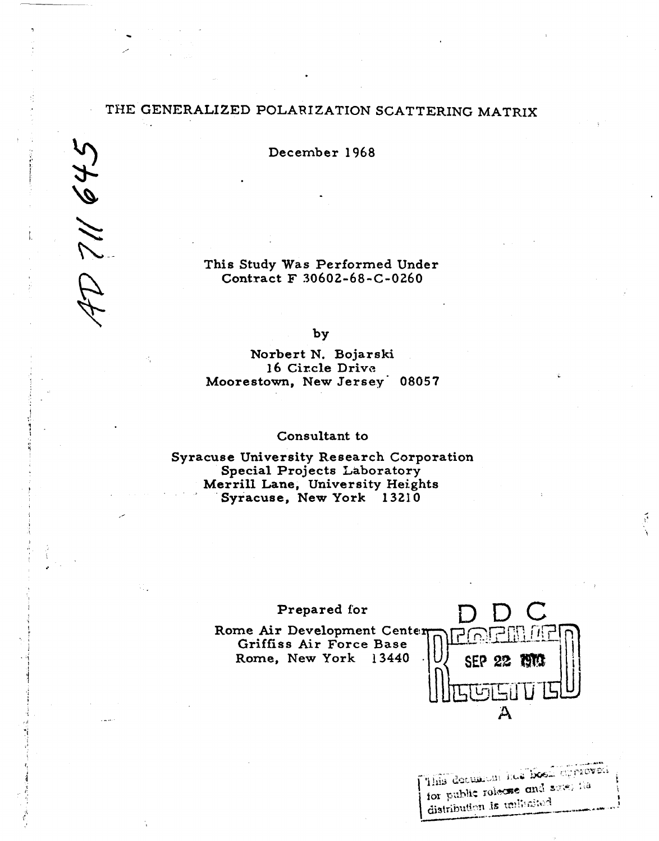# THE GENERALIZED POLARIZATION **SCATTERING** MATRIX

December **1968**

This Study Was Performed Under Contract **F 30602-68-C-0260**

 $549$  //  $\sigma$ 

**by**

Norbert **N.** Bojarski **16** Circle Drive Moorestown, New Jersey<sup> 08057</sup>

#### Consultant to

Syracuse University Research Corporation Special Projects Laboratory Merrill Lane, University Heights Syracuse, New York 13210

Prepared for Rome Air Development Center Griffiss Air Force Base Rome, New York  $13440$   $|U|$  SEP 22 **011 <sup>A</sup>**

This document has seen the distribution is unificated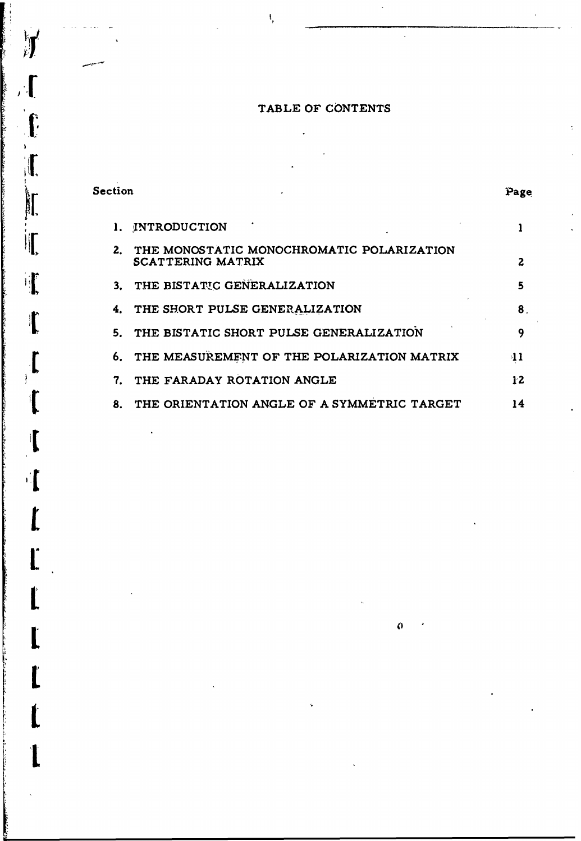# TABLE OF CONTENTS

 $\mathbb{I}_i$ 

**LI**

is vali

 $\mathbf{y}$ 

 $\frac{1}{2}$ 

 $\bar{Y}$  $\prod_{i=1}^{n}$ 

 $\int$ 

 $\mathbf{I}$ 

 $\frac{1}{2}$ 

**[**

**L**

'h

-<br>I

|              | Section |                                                                       | Page           |
|--------------|---------|-----------------------------------------------------------------------|----------------|
|              |         | <b>INTRODUCTION</b>                                                   |                |
|              |         | THE MONOSTATIC MONOCHROMATIC POLARIZATION<br><b>SCATTERING MATRIX</b> | 2              |
| $\mathbf{r}$ |         | 3. THE BISTATIC GENERALIZATION                                        | 5              |
|              |         | THE SHORT PULSE GENERALIZATION                                        | 8 <sub>1</sub> |
| $\mathbf{r}$ |         | 5. THE BISTATIC SHORT PULSE GENERALIZATION                            | 9              |
|              |         | 6. THE MEASUREMENT OF THE POLARIZATION MATRIX                         | 41             |
|              | 7.      | THE FARADAY ROTATION ANGLE                                            | 12             |
|              | 8.      | THE ORIENTATION ANGLE OF A SYMMETRIC TARGET                           | 14             |

**L** <sup>0</sup>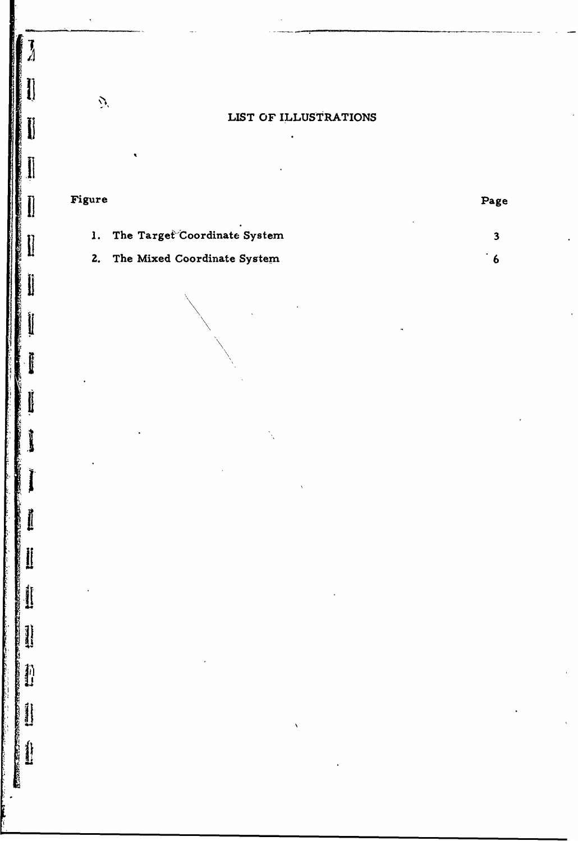# ILIST **OF** ILLUSTRATIONS

 $\ddot{\phantom{0}}$ 

 $\overline{A}$ 

1

 $\mathbf{l}$ 

I

 $\mathbf{l}$ 

 $\ddot{\phantom{1}}$ 

i

ľ

**Ii**

**Ii**

**'4e**

1202327.23

**REAL BOOK** 

**CONSTRUCTION** 

| Figure |                                 | $\mathbf{Page}$ |
|--------|---------------------------------|-----------------|
|        | 1. The Target Coordinate System |                 |
|        | 2. The Mixed Coordinate System  |                 |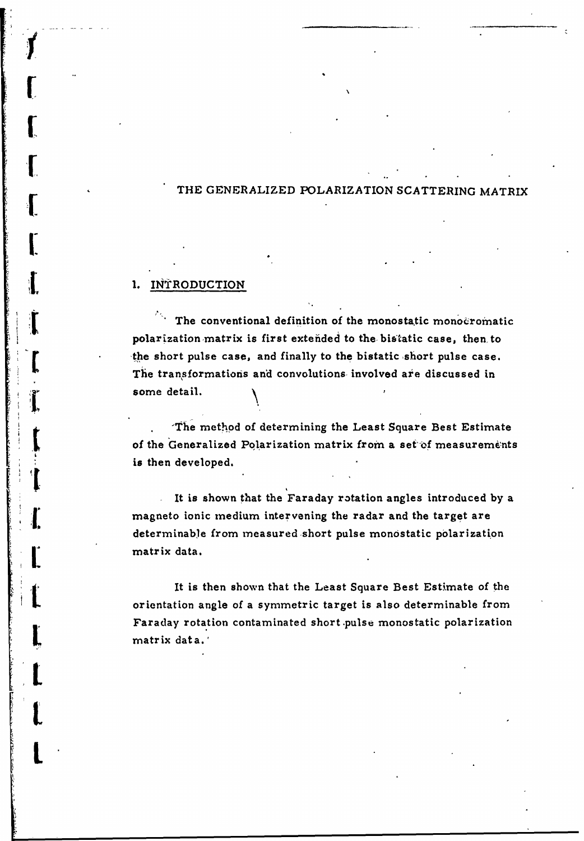### THE GENERALIZED POLARIZATION SCATTERING MATRIX

#### **( 1.** IN'RODUCTION

**[**

 $\mathbf{I}$ 

The conventional definition of the monostatic monocromatic polarization matrix is first extended to the bistatic case, then to the short pulse case, and finally to the bistatic short pulse case. The tran formations and convolutions involved **are** discussed in some detail.

'The method of determining the Least Square Best Estimate of the Generalized Polarization matrix from a set of measurements is then developed.

It is shown that the Faraday rotation angles introduced by a magneto ionic medium intervening the radar and the target are determinable from measured short pulse monostatic polarization matrix data.

It is then shown that the Least Square Best Estimate of the orientation angle of a symmetric target is also determinable from Faraday rotation contaminated short.pulse monostatic polarization matrix data.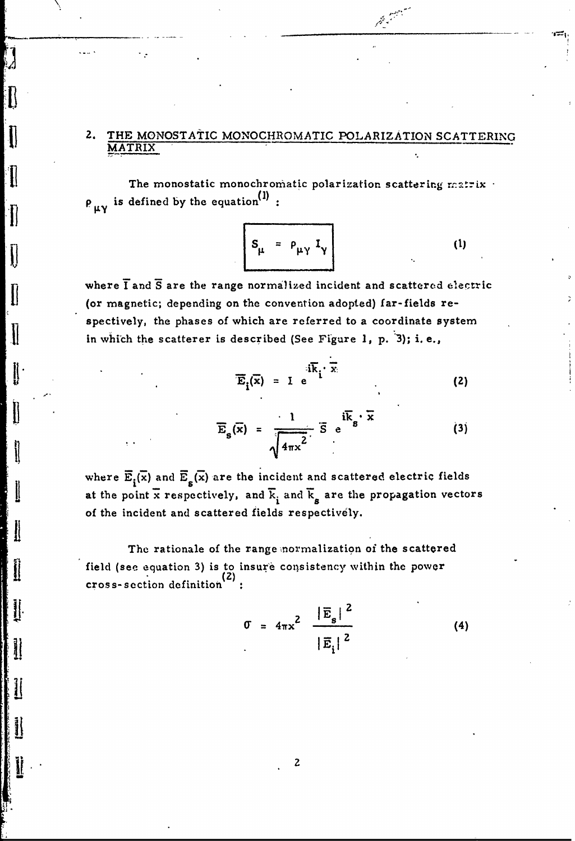### **2.** THE MONOSTAtIC MONOCHROMATIC POLARIZATION SCATTERING MATRIX

11The monostatic monochromatic polarization scattering matrix  $\cdot$  $P_{\mu\gamma}$  is defined by the equation<sup>(1)</sup> :

$$
S_{\mu} = \rho_{\mu\gamma} I_{\gamma}
$$
 (1)

where Iand **S** are the range normalized incident and scattered electric (or magnetic; depending on the convention adopted) far-fields respectively, the phases of which are referred to a coordinate system 1<sup>1</sup> in which the scatterer is described (See Figure 1, p. 3); i.e.,

$$
\overline{\mathbf{E}}_{i}(\overline{\mathbf{x}}) = 1 e^{\mathbf{i} \overline{\mathbf{k}}_{i} \cdot \overline{\mathbf{x}}_{i}}
$$
 (2)

$$
\overline{E}_g(\overline{x}) = \frac{1}{\sqrt{4\pi x^2}} \overline{S} e^{i\overline{k}_g \cdot \overline{x}}
$$
 (3)

where  $\overline{E}_i(\overline{x})$  and  $\overline{E}_s(\overline{x})$  are the incident and scattered electric fields at the point  $\bar{x}$  respectively, and  $\bar{k}_i$  and  $\bar{k}_s$  are the propagation vectors of the incident and scattered fields respectively.

The rationale of the range normalization of the scattered field (see equation 3) is to insure consistency within the power cross-section definition<sup>(2)</sup>:

$$
\sigma = 4\pi x^2 \frac{|\overline{\mathbf{E}}_{\mathbf{s}}|^2}{|\overline{\mathbf{E}}_{\mathbf{i}}|^2}
$$
 (4)

 $\overline{c}$ 

 $\mathbf{r}$ 

 $\prod_{i=1}^{n}$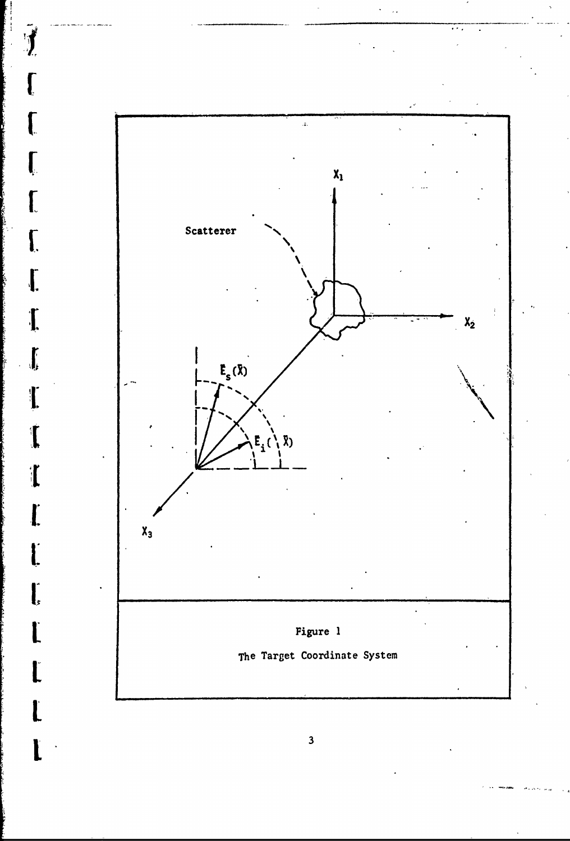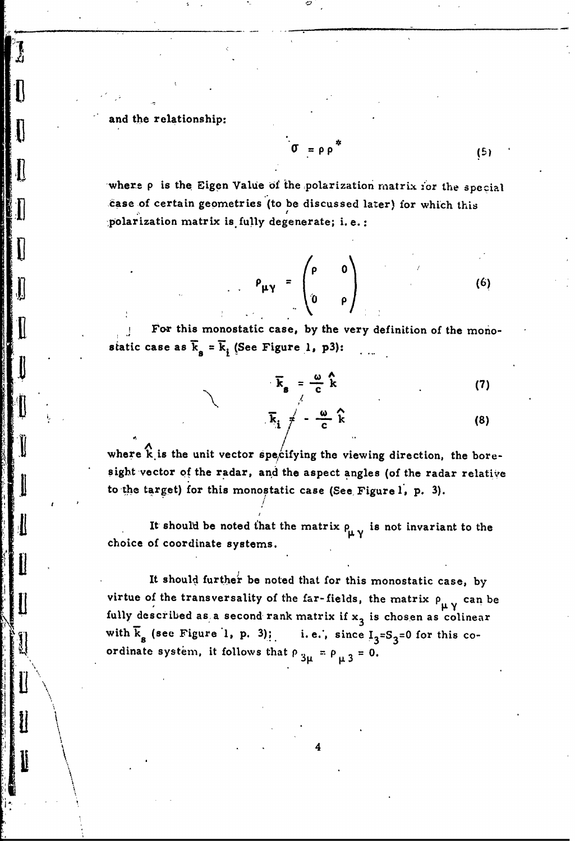and the relationship:

**tA <sup>A</sup>**

 $\mathbf{r}$ 

It

 $\mathbf{J}$ 

 $\mathbf{\mathbf{\mathbf{\mathsf{I}}}}$ 

$$
\sigma = \rho \rho^*
$$

-where **p** is the Eigen Value **of the** polarization matrix 2'or the special caseof certain geometries (to be discussed later) for which this ;polarization matrix **is.** fully degenerate; **i. e.:**

- - Q o

$$
\rho_{\mu\gamma} = \begin{pmatrix} \rho & 0 \\ 0 & \rho \end{pmatrix}
$$
 (6)

 $(5)$ 

For this monostatic case, **by** the very definition of the monostatic case as  $\overline{k}_g = \overline{k}_i$  (See Figure 1, p3):

$$
\overline{\mathbf{k}}_{\mathbf{s}} = \frac{\omega}{c} \mathbf{\hat{k}} \tag{7}
$$

$$
\overline{k}_{i} \neq -\frac{\omega}{c} \hat{k}
$$
 (8)

where  $\hat{k}$  is the unit vector specifying the viewing direction, the boresight vector of the radar, and the aspect angles (of the radar relative to the target) for this monostatic case (See, Figure **1, p. 3). <sup>I</sup>***/*

It should be noted that the matrix  $\rho_{\mu\gamma}$  is not invariant to the choice of coordinate systems.

It should further be noted that for this monostatic case, **by** virtue of the transversality of the far-fields, the matrix  $\rho_{\mu\gamma}$  can be fully described as a second rank matrix if  $x_3$  is chosen as colinear with  $\overline{k}_g$  (see Figure 1, p. 3); i.e., since  $I_3 = S_3 = 0$  for this coordinate system, it follows that  $\rho_{3\mu} = \rho_{\mu 3} = 0$ .

 $\begin{array}{c|c|c|c|c} \hline \cdots & \cdots & \cdots & \cdots \ \hline \cdots & \cdots & \cdots & \cdots & \cdots \end{array}$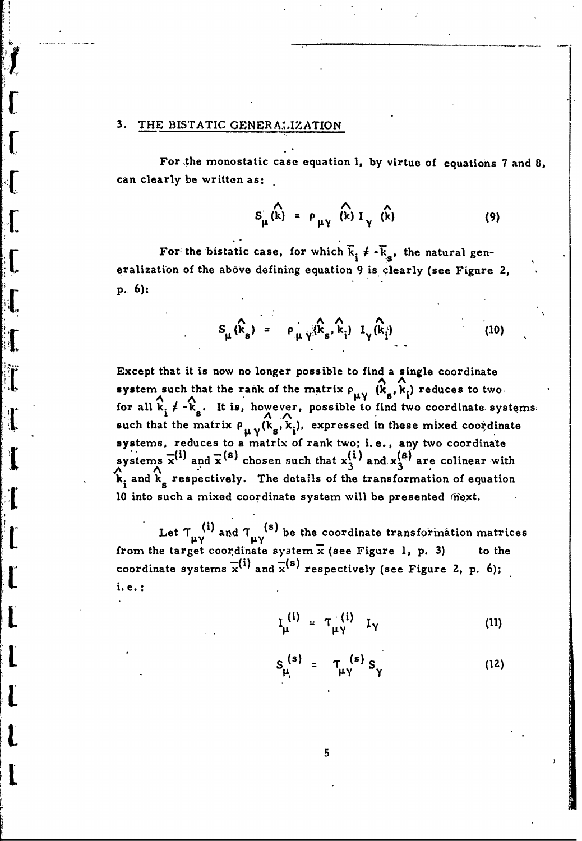#### **3.** THE BISTATIC GENERALIZATION

For the monostatic case equation **1, by** virtue of equations **7** and **8,** can clearly be written as:

$$
S_{\mu}(\hat{k}) = \rho_{\mu\gamma}(\hat{k}) I_{\gamma}(\hat{k}) \qquad (9)
$$

For the bistatic case, for which  $\overline{k}_i \neq -\overline{k}_s$ , the natural generalization of the above defining equation 9 is clearly (see Figure 2,  $p. 6$ :

$$
S_{\mu}(\hat{k}_{s}) = \rho_{\mu} \hat{\gamma}^{(k)}_{s} \hat{k}_{i}^{\dagger} L_{\gamma}(\hat{k}_{i}^{\dagger})
$$
 (10)

Except that it is now no longer possible to find a single coordinate system such that the rank of the matrix  $\rho_{\ldots}$   $(\mathbf{k}_n, \mathbf{k}_i)$  reduces to two.  $\Lambda$  **A**  $\Lambda$ for all  $\hat{k}_i \neq -\hat{k}_s$ . It is, however, possible to find two coordinate systems. such that the matrix  $\rho_{\mu\gamma}(\vec{k}_s, \vec{k}_i)$ , expressed in these mixed coordinate systems, reduces to a matrix of rank two; i.e., any two coordinate systems  $\bar{x}^{(i)}$  and  $\bar{x}^{(s)}$  chosen such that  $x_3^{(i)}$  and  $x_3^{(s)}$  are colinear with  $\hat{k}_i$  and  $\hat{k}_s$  respectively. The details of the transformation of equation 10 into such a mixed coordinate system will be presented mext.

Let  $T_{\mu\gamma}^{(i)}$  and  $T_{\mu\gamma}^{(s)}$  be the coordinate transformation matrices is the target coordinate system  $\bar{x}$  (see Figure 1, p. 3) to the from the target coordinate system x (see Figure 1, p. 3) coordinate systems  $\overline{x}^{(i)}$  and  $\overline{x}^{(s)}$  respectively (see Figure 2, p. 6); i.e.

$$
I_{\mu}^{(i)} = T_{\mu\gamma}^{(i)} I_{\gamma}
$$
 (11)

$$
S_{\mu}^{(s)} = T_{\mu\gamma}^{(s)} S_{\gamma} \qquad (12)
$$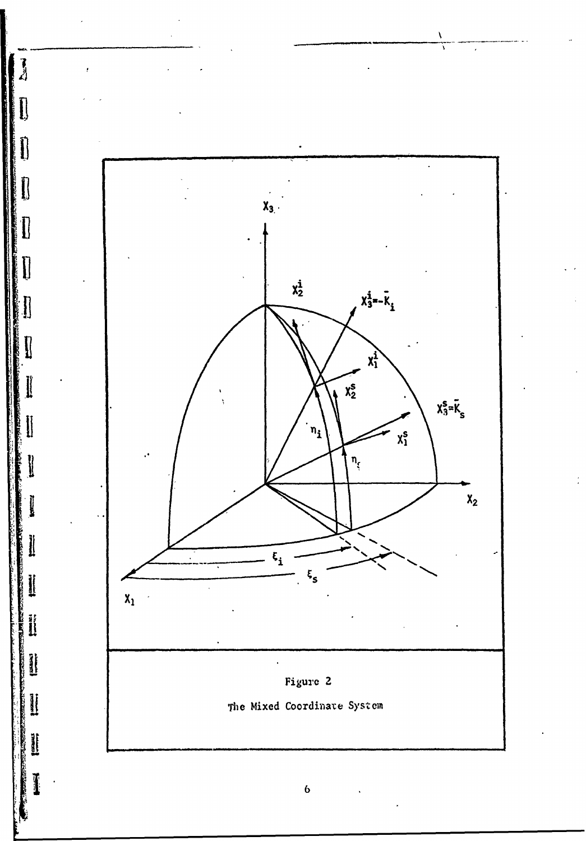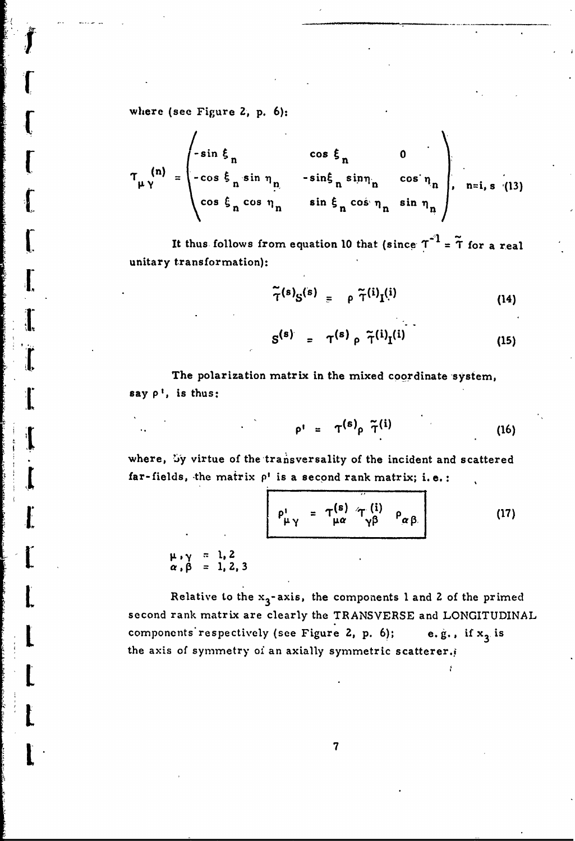where (see Figure 2, p. 6):

 $\sqrt{\frac{1}{2}}$ 

 $\sqrt{ }$ 

 $\overline{\mathbf{I}}$ 

<sup>[</sup>

 $\prod$ 

$$
\tau_{\mu\gamma}^{(n)} = \begin{pmatrix}\n-\sin\xi_n & \cos\xi_n & 0 \\
-\cos\xi_n\sin\eta_n & -\sin\xi_n\sin\eta_n & \cos\eta_n \\
\cos\xi_n\cos\eta_n & \sin\xi_n\cos\eta_n & \sin\eta_n\n\end{pmatrix}, n=i, s \quad (13)
$$

It thus follows from equation 10 that (since  $\tau^{-1} = \tilde{\tau}$  for a real unitary transformation):

$$
\widetilde{\tau}^{(s)}S^{(s)} = \rho \ \widetilde{\tau}^{(i)}I^{(i)} \qquad (14)
$$

$$
S^{(s)} = \tau^{(s)} \rho \tilde{\tau}^{(i)} I^{(i)}
$$
 (15)

The polarization matrix in the mixed coordinate system, say  $\rho'$ , is thus:

$$
\rho^{\dagger} = \tau^{(s)} \rho \tilde{\tau}^{(i)}
$$
 (16)

where, *by* virtue of the transversality of the incident and scattered far-fields, the matrix  $\rho^t$  is a second rank matrix; i.e.:

$$
\rho_{\mu\gamma}^{i} = \tau_{\mu\alpha}^{(s)} \tau_{\gamma\beta}^{(i)} \rho_{\alpha\beta} \qquad (17)
$$

 $\mu$ ,  $\gamma = 1, 2$ <br>  $\alpha$ ,  $\beta = 1, 2, 3$ 

Relative to the x<sub>3</sub>-axis, the components 1 and 2 of the primed second rank matrix are clearly the TRANSVERSE and LONGITUDINAL components respectively (see Figure 2, p. 6); e.g., if  $x_3$  is the axis of symmetry of an axially symmetric scatterer.

**1~ 7**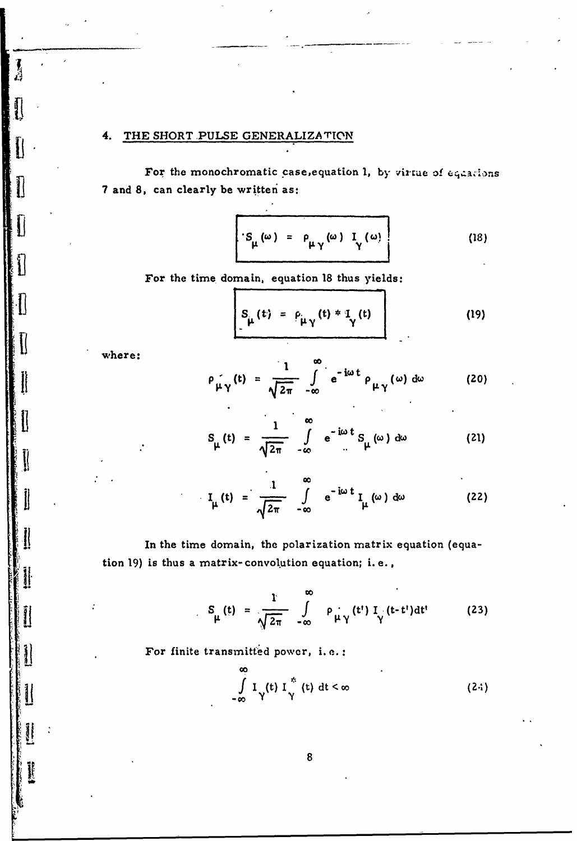#### 4. THE SHORT PULSE GENERALIZATION

For the monochromatic case, equation 1, by virtue of equations 7 and 8, can clearly be written as:

$$
S_{\mu}(\omega) = \rho_{\mu\gamma}(\omega) I_{\gamma}(\omega)
$$
 (18)

For the time domain, equation 18 thus yields:

$$
S_{\mu}(t) = \rho_{\mu\gamma}(t) * T_{\gamma}(t)
$$
 (19)

where:

I

Ĭ

Í

İ

$$
\rho_{\mu\gamma}(t) = \frac{1}{\sqrt{2\pi}} \int_{-\infty}^{\infty} e^{-i\omega t} \rho_{\mu\gamma}(\omega) d\omega
$$
 (20)

$$
S_{\mu}(t) = \frac{1}{\sqrt{2\pi}} \int_{-\infty}^{\infty} e^{-i\omega t} S_{\mu}(\omega) d\omega
$$
 (21)

$$
I_{\mu}(t) = \frac{1}{\sqrt{2\pi}} \int_{-\infty}^{\infty} e^{-i\omega t} I_{\mu}(\omega) d\omega
$$
 (22)

In the time domain, the polarization matrix equation (equation 19) is thus a matrix-convolution equation; i.e.,

$$
S_{\mu}(t) = \frac{1}{\sqrt{2\pi}} \int_{-\infty}^{\infty} \rho_{\mu\gamma}(t^{\prime}) I_{\gamma}(t-t^{\prime}) dt^{\prime}
$$
 (23)

For finite transmitted power, i.e.:

$$
\int_{-\infty}^{\infty} I_{\gamma}(t) I_{\gamma}^{*}(t) dt < \infty
$$
 (2.4)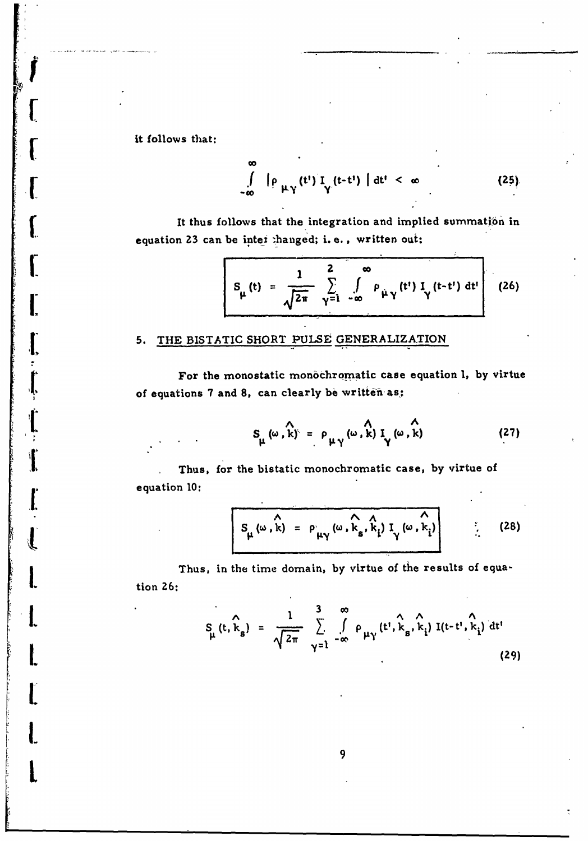it follows that:

**r**

 $\cdot$  [

 $\mathbf{I}$ 

 $\overline{1}$ 

$$
\int_{-\infty}^{\infty} \left[ \rho \mu_Y(t^{\prime}) \mathbf{I}_Y(t-t^{\prime}) \middle| dt^{\prime} < \infty \right] \tag{25}
$$

It thus follows that the integration and implied summation in equation 23 can be inter changed; i.e., written out:

$$
S_{\mu}(t) = \frac{1}{\sqrt{2\pi}} \sum_{\gamma=1}^{2} \int_{-\infty}^{\infty} \rho_{\mu\gamma}(t!) I_{\gamma}(t-t') dt'
$$
 (26)

# 1 **5.** THE BISTATIC SHORT **PULSE** GENERALIZATION

For the monostatic monochromatic case equation **1, by** virtue of equations **7** and **8,** can clearly be writteii **as:**

$$
S_{\mu}(\omega, k) = \rho_{\mu\gamma}(\omega, k) I_{\gamma}(\omega, k)
$$
 (27)

Thus, for the bistatic monochromatic case, **by** virtue of equation **10:**

$$
S_{\mu}(\omega, k) = \rho_{\mu\gamma}(\omega, k_s, k_i) I_{\gamma}(\omega, k_i)
$$
 (28)

Thus, in the time domain, by virtue of the results of equa- $\mathbf{I} \in \mathbb{R}$  is  $\mathbb{R}^n$  . A  $\mathbb{R}^n$  if  $\mathbb{R}^n$  is  $\mathbb{R}^n$  if  $\mathbb{R}^n$  is  $\mathbb{R}^n$  if  $\mathbb{R}^n$  is  $\mathbb{R}^n$  if  $\mathbb{R}^n$  is  $\mathbb{R}^n$  if  $\mathbb{R}^n$  is  $\mathbb{R}^n$  if  $\mathbb{R}^n$  if  $\mathbb{R}^n$  is  $\mathbb$ 

$$
S_{\mu}(t, \hat{k}_{s}) = \frac{1}{\sqrt{2\pi}} \sum_{\gamma=1}^{3} \int_{-\infty}^{\infty} \rho_{\mu\gamma}(t^{1}, \hat{k}_{s}, \hat{k}_{i}) I(t-t^{1}, \hat{k}_{i}) dt^{t}
$$
(29)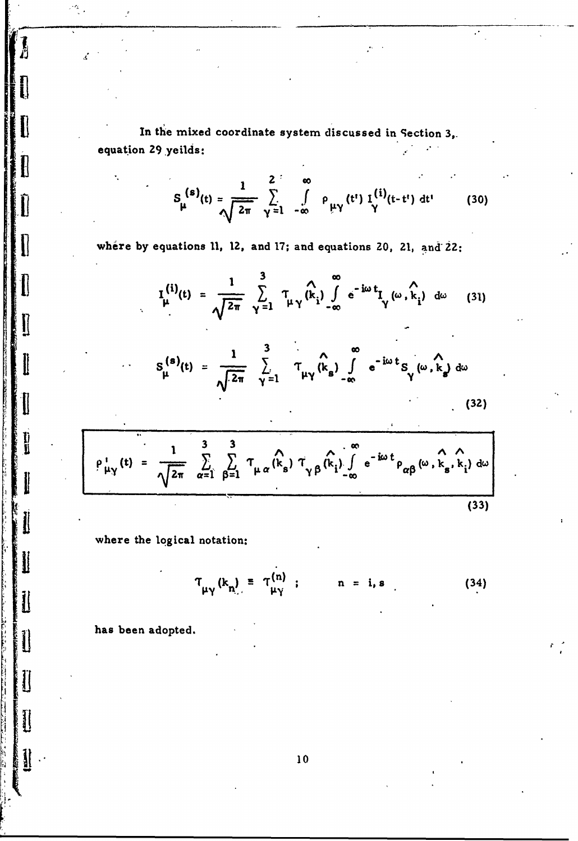In the mixed coordinate system discussed in Section 3,. equation 29 yeilds:

$$
S_{\mu}^{(s)}(t) = \frac{1}{\sqrt{2\pi}} \sum_{\gamma=1}^{2} \int_{-\infty}^{\infty} \rho_{\mu\gamma}(t^{\prime}) \frac{1}{\gamma}^{(i)}(t-t^{\prime}) dt^{\prime}
$$
 (30)

where by equations 11, 12, and 17; and equations 20, 21, and 22:

$$
I_{\mu}^{(i)}(t) = \frac{1}{\sqrt{2\pi}} \sum_{\gamma=1}^{3} T_{\mu\gamma} (k_{i}) \int_{-\infty}^{\infty} e^{-i\omega t} I_{\gamma} (\omega, k_{i}) d\omega \qquad (31)
$$

$$
S_{\mu}^{(s)}(t) = \frac{1}{\sqrt{2\pi}} \sum_{\gamma=1}^{3} T_{\mu\gamma} (k_{s}) \int_{-\infty}^{\infty} e^{-i\omega t} S_{\gamma} (\omega, k_{s}) d\omega
$$

$$
\rho_{\mu\gamma}^{i}(t) = \frac{1}{\sqrt{2\pi}} \sum_{\alpha=1}^{3} \sum_{\beta=1}^{3} T_{\mu\alpha} (k_{s}) T_{\gamma\beta} (k_{i}) \int_{-\infty}^{\infty} e^{-i\omega t} \rho_{\alpha\beta} (\omega, k_{s}, k_{i}) d\omega
$$

$$
(32)
$$

where the logical notation:

 $\tau_{\mu\gamma}^{\text{(k)}}(k_{n}) = \tau_{\mu\gamma}^{\text{(n)}}$ ;  $(34)$  $n = i, s$ 

 $(33)$ 

has been adopted.

l

İ

 $\overline{\phantom{a}}$ 

1

 $\mathcal{F}_{\mathcal{C}}$  .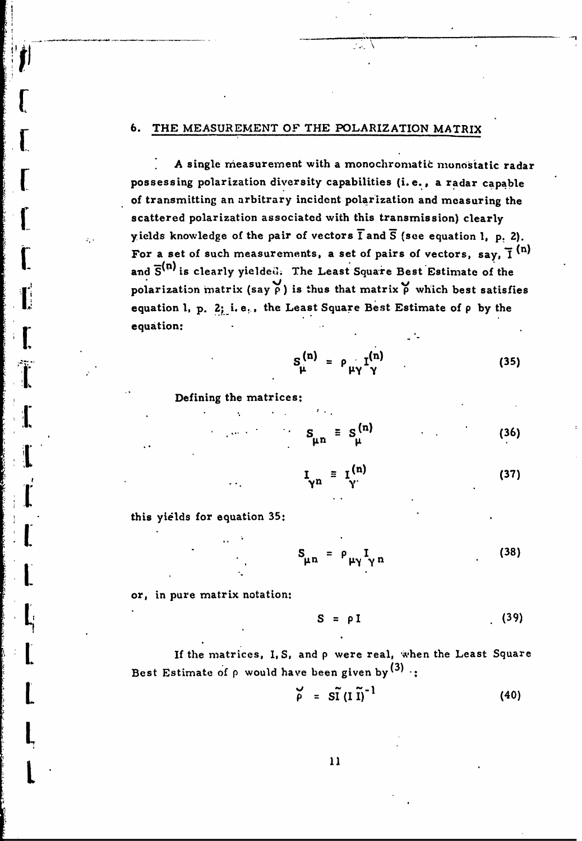#### **6.** THE MEASUREMENT OF THE POLARIZATION MATRIX

A single measurement with a monochromatic monostatic radar possessing polarization diversity capabilities (i. **e.,** a radar capable of transmitting an arbitrary incident polarization and measuring the<br>scattered polarization associated with this transmission) clearly yields knowledge of the pair of vectors **I** and S (see equation **1, p. 2).** For a set of such measurements, a set of pairs of vectors, say,  $\bar{I}^{(n)}$ and  $\overline{S}^{(n)}$  is clearly yielded. The Least Square Best Estimate of the polarization matrix (say  $\uprho$ ) is thus that matrix  $\uprho$  which best satisfies equation **1, p. 2;** i. **e..** the Least Square Best Estimate of **p by** the equation:

المتعارض

$$
S_{\mu}^{(n)} = \rho_{\mu\gamma}I_{\gamma}^{(n)}
$$
 (35)

Defining the matrices:

$$
S_{\mu n} = S_{\mu}^{(n)}
$$
 (36)

$$
I_{\gamma n} = I_{\gamma}^{(n)} \tag{37}
$$

this yields for equation 35:

|" this yields for equation **35:**

**[**

$$
S_{\mu n} = \rho_{\mu \gamma} I_{\gamma n} \qquad (38)
$$

or, in pure matrix notation:

$$
S = \rho I \tag{39}
$$

If the matrices, **I,S,** and p were real, when the Least Square Best Estimate of p would have been given **by (3) :**

$$
\widetilde{\rho} = S\widetilde{\Gamma} (\Gamma \widetilde{\Gamma})^{-1}
$$
 (40)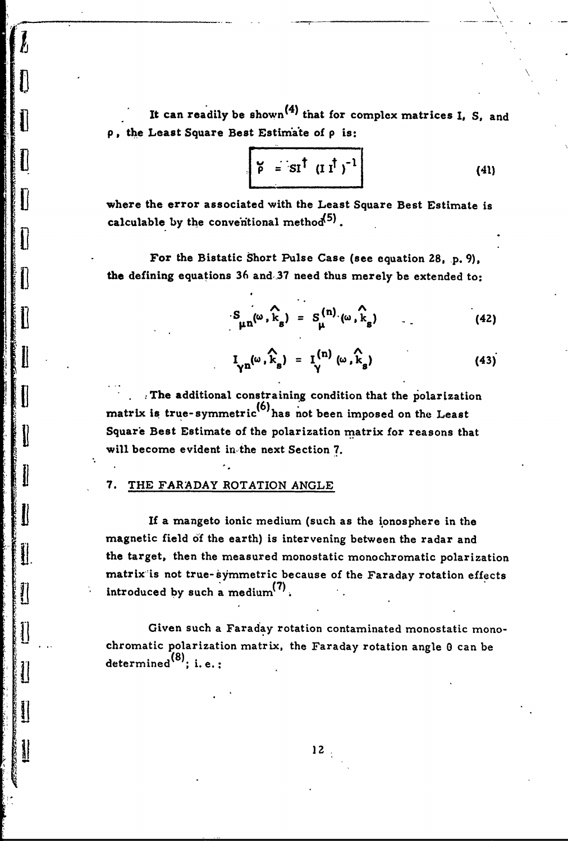It can readily be shown<sup>(4)</sup> that for complex matrices I, S, and **p, the** Least Square Best **Estim'a'te** of **p** is:

$$
\beta = \text{st}^{\dagger} (\text{I} \text{I}^{\dagger})^{-1}
$$
 (41)

where the error associated with the Least Square Best Estimate is calculable by the conventional method<sup>(5)</sup>.

For the Bistatic Short Pulse Case (see equation **28, p.** *9),* 1the defining equations **36** and,37 need thus merely be extended to:

$$
S_{\mu n}(\omega, k_g) = S_{\mu}^{(n)}(\omega, k_g)
$$
 (42)

$$
I_{\gamma n}(\omega, \hat{k}_s) = I_{\gamma}^{(n)}(\omega, \hat{k}_s)
$$
 (43)

The additional constraining condition that the polarization matrix is true-symmetric<sup>(6)</sup> has not been imposed on the Least Square Best Estimate of the polarization matrix for reasons that will become evident **in-the** next Section **7.**

#### **7.** THE FARADAY ROTATION **ANGLE**

n<br>[]

**L{**

If a mangeto ionic medium (such as the ionosphere in the magnetic field **of** the earth) is intervening between the radar and III the target, then the measured monostatic monochromatic polarization matrix is not true-symmetric because of the Faraday rotation effects introduced by such a medium<sup>(7)</sup>.

> Given such a Faraday rotation contaminated monostatic monochromatic polarization matrix, the Faraday rotation angle **0** can be determined<sup>(8)</sup>; i.e.: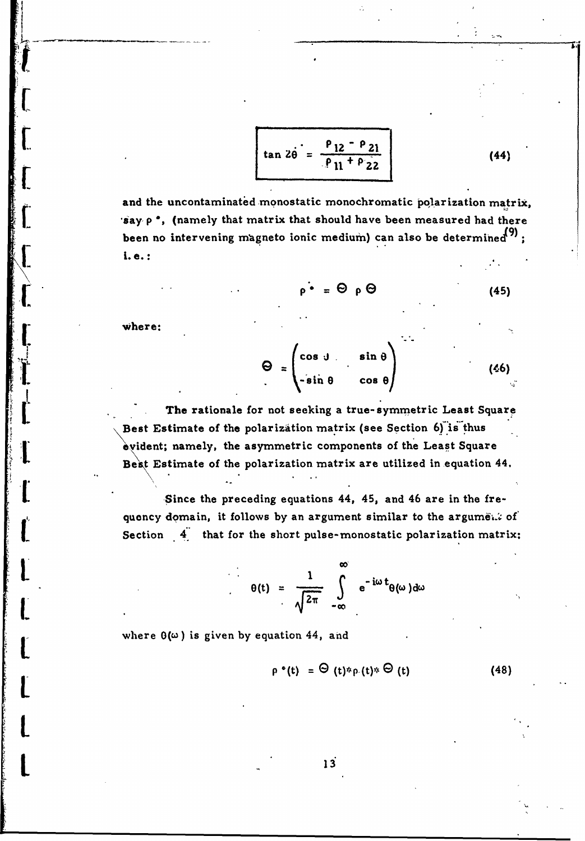$$
\tan 2\dot{\theta} = \frac{\rho_{12} - \rho_{21}}{\rho_{11} + \rho_{22}}
$$
 (44)

and the uncontaminated monostatic monochromatic polarization matrix, **-say- p ,** (namely that matrix that should have been measured had there been no intervening magneto ionic medium) can also be determined<sup>(9)</sup>: i. e.

$$
\rho \bullet = \Theta \circ \Theta \tag{45}
$$

where:

**[**

**I**

$$
\Theta = \begin{pmatrix} \cos \theta & \sin \theta \\ -\sin \theta & \cos \theta \end{pmatrix}
$$
 (46)

The rationale for not seeking a true-symmetric Least Square Best Estimate of the polarization matrix (see Section 6) is thus evident; namely, the asymmetric components of the Least Square Best Estimate of the polarization matrix are utilized in equation 44.

Since the preceding equations 44, 45, and 46 are in the frequoncy domain, it follows by an argument similar to the argument of Section 4. that for the short pulse-monostatic polarization matrix:

$$
\theta(t) = \frac{1}{\sqrt{2\pi}} \int_{-\infty}^{\infty} e^{-i\omega t} \theta(\omega) d\omega
$$

where  $\theta(\omega)$  is given by equation 44, and

$$
\rho \cdot (t) = \Theta(t) * \rho(t) * \Theta(t) \qquad (48)
$$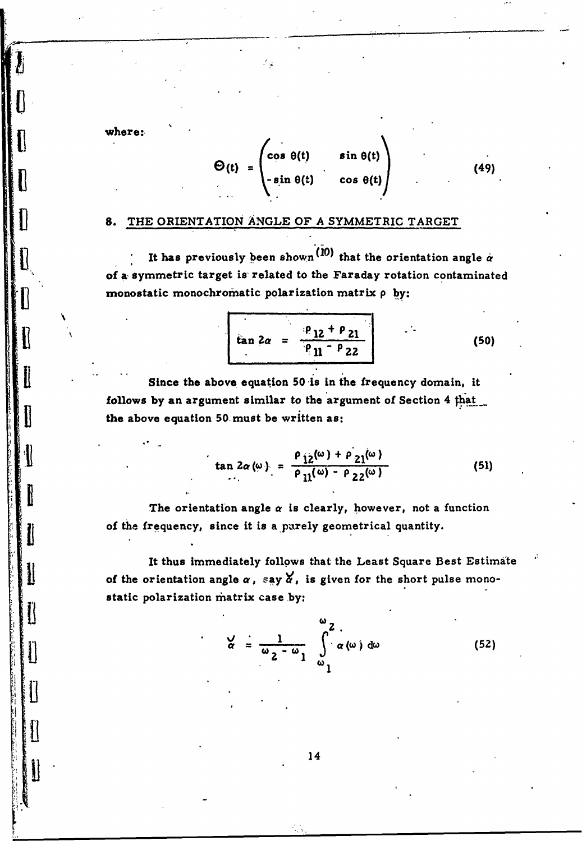where:.

**U** 

**Li**

$$
D(t) = \begin{pmatrix} \cos \theta(t) & \sin \theta(t) \\ -\sin \theta(t) & \cos \theta(t) \end{pmatrix}
$$

#### **8. THE** ORIENTATION **ANGLE** OF **A** SYMMETRIC TARGET

Z,

It has previously been shown<sup>(10)</sup> that the orientation angle  $\alpha$ of a- symmetric target is related to the Faraday rotation contaminated monostatic monochromatic polarization matrix **p by:**

$$
\tan 2\alpha = \frac{P_{12} + P_{21}}{P_{11} - P_{22}}
$$
 (50)

 $(49)$ 

Since the above equation 50 is in the frequency domain, it follows **by** an argument similar to the argument of Section 4 **that** the above equation 50 must be written as:

 $\tan 2\alpha (\omega) = \frac{P \{2^{(\omega)} + P \{2\}^{(\omega)}\}}{P \{2\}}$  (51)

The orientation angle  $\alpha$  is clearly, however, not a function of the frequency, since it is a purely geometrical quantity.

It thus immediately follows that the Least Square Best Estimate of the orientation angle  $\alpha$ , say  $\alpha'$ , is given for the short pulse monostatic polarization matrix case by:

$$
\alpha = \frac{1}{\omega_2 - \omega_1} \int_{\omega_1}^{\omega_2} \alpha(\omega) d\omega
$$
 (52)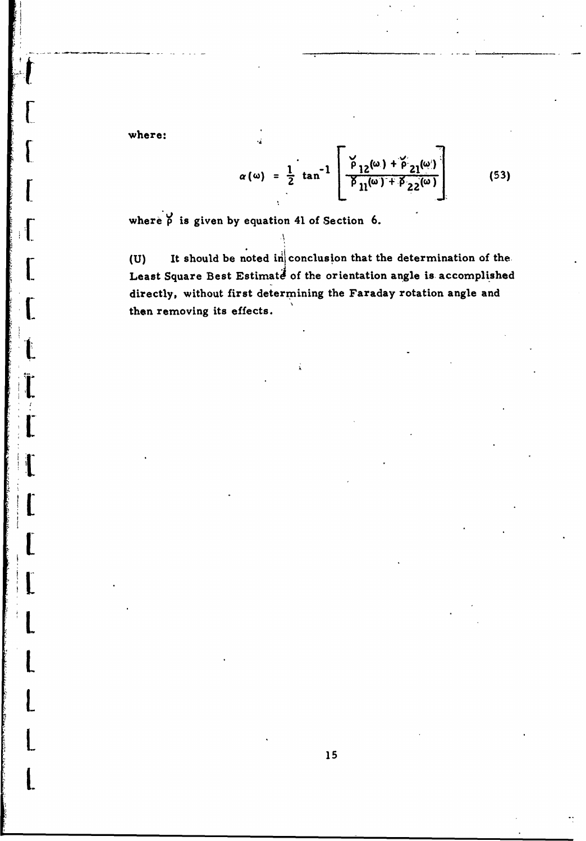where:

 $\left\{ \right.$ 

 $\frac{1}{2}$ 

$$
\alpha(\omega) = \frac{1}{2} \tan^{-1} \left[ \frac{\gamma_{12}(\omega) + \gamma_{21}(\omega)}{\gamma_{11}(\omega) + \gamma_{22}(\omega)} \right]
$$
(53)

where  $\beta$  is given by equation 41 of Section 6.

**(U)** It should be noted in)' conclusion that the determination of the. Least Square Best Estimate of the orientation angle is accomplished directly, without first determining the Faraday rotation angle and then removing its effects.